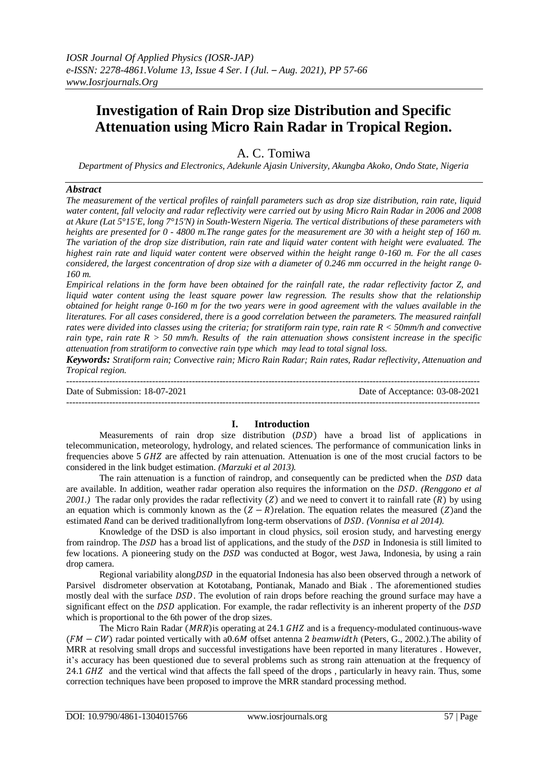# **Investigation of Rain Drop size Distribution and Specific Attenuation using Micro Rain Radar in Tropical Region.**

A. C. Tomiwa

*Department of Physics and Electronics, Adekunle Ajasin University, Akungba Akoko, Ondo State, Nigeria* 

#### *Abstract*

*The measurement of the vertical profiles of rainfall parameters such as drop size distribution, rain rate, liquid water content, fall velocity and radar reflectivity were carried out by using Micro Rain Radar in 2006 and 2008 at Akure (Lat 5°15'E, long 7°15'N) in South-Western Nigeria. The vertical distributions of these parameters with heights are presented for 0 - 4800 m.The range gates for the measurement are 30 with a height step of 160 m. The variation of the drop size distribution, rain rate and liquid water content with height were evaluated. The highest rain rate and liquid water content were observed within the height range 0-160 m. For the all cases considered, the largest concentration of drop size with a diameter of 0.246 mm occurred in the height range 0- 160 m.*

*Empirical relations in the form have been obtained for the rainfall rate, the radar reflectivity factor Z, and liquid water content using the least square power law regression. The results show that the relationship obtained for height range 0-160 m for the two years were in good agreement with the values available in the literatures. For all cases considered, there is a good correlation between the parameters. The measured rainfall rates were divided into classes using the criteria; for stratiform rain type, rain rate R < 50mm/h and convective rain type, rain rate*  $R > 50$  *mm/h. Results of the rain attenuation shows consistent increase in the specific attenuation from stratiform to convective rain type which may lead to total signal loss.*

*Keywords: Stratiform rain; Convective rain; Micro Rain Radar; Rain rates, Radar reflectivity, Attenuation and Tropical region.*

 $-1.1$ Date of Submission: 18-07-2021 Date of Acceptance: 03-08-2021 ---------------------------------------------------------------------------------------------------------------------------------------

### **I. Introduction**

Measurements of rain drop size distribution  $(DSD)$  have a broad list of applications in telecommunication, meteorology, hydrology, and related sciences. The performance of communication links in frequencies above  $5$  GHZ are affected by rain attenuation. Attenuation is one of the most crucial factors to be considered in the link budget estimation. *(Marzuki et al 2013).*

The rain attenuation is a function of raindrop, and consequently can be predicted when the  $DSD$  data are available. In addition, weather radar operation also requires the information on the DSD. (Renggono et al *2001.*) The radar only provides the radar reflectivity (Z) and we need to convert it to rainfall rate  $(R)$  by using an equation which is commonly known as the  $(Z - R)$  relation. The equation relates the measured (Z) and the estimated Rand can be derived traditionallyfrom long-term observations of *DSD*. (Vonnisa et al 2014).

Knowledge of the DSD is also important in cloud physics, soil erosion study, and harvesting energy from raindrop. The DSD has a broad list of applications, and the study of the DSD in Indonesia is still limited to few locations. A pioneering study on the DSD was conducted at Bogor, west Jawa, Indonesia, by using a rain drop camera.

Regional variability along  $DSD$  in the equatorial Indonesia has also been observed through a network of Parsivel disdrometer observation at Kototabang, Pontianak, Manado and Biak . The aforementioned studies mostly deal with the surface DSD. The evolution of rain drops before reaching the ground surface may have a significant effect on the  $DSD$  application. For example, the radar reflectivity is an inherent property of the  $DSD$ which is proportional to the 6th power of the drop sizes.

The Micro Rain Radar ( $MRR$ ) is operating at 24.1 GHZ and is a frequency-modulated continuous-wave  $(FM - CW)$  radar pointed vertically with a 0.6M offset antenna 2 beamwidth (Peters, G., 2002.). The ability of MRR at resolving small drops and successful investigations have been reported in many literatures . However, it's accuracy has been questioned due to several problems such as strong rain attenuation at the frequency of 24.1 GHZ and the vertical wind that affects the fall speed of the drops, particularly in heavy rain. Thus, some correction techniques have been proposed to improve the MRR standard processing method.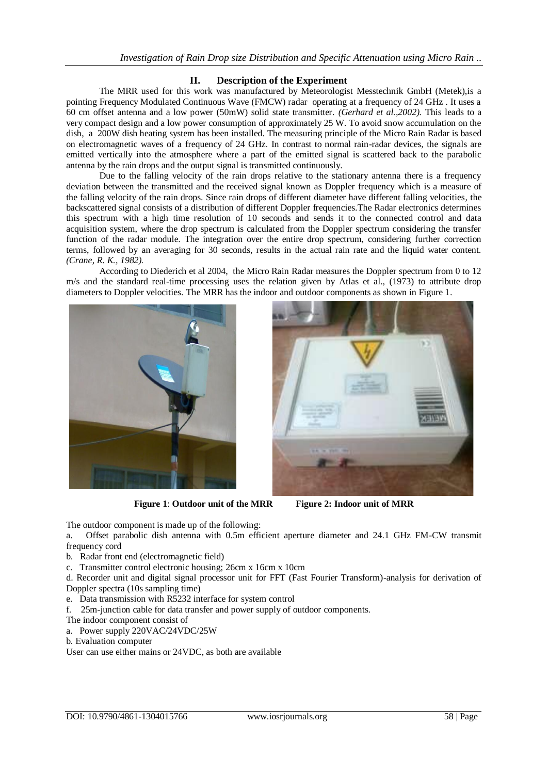## **II. Description of the Experiment**

The MRR used for this work was manufactured by Meteorologist Messtechnik GmbH (Metek),is a pointing Frequency Modulated Continuous Wave (FMCW) radar operating at a frequency of 24 GHz . It uses a 60 cm offset antenna and a low power (50mW) solid state transmitter. *(Gerhard et al.,2002).* This leads to a very compact design and a low power consumption of approximately 25 W. To avoid snow accumulation on the dish, a 200W dish heating system has been installed. The measuring principle of the Micro Rain Radar is based on electromagnetic waves of a frequency of 24 GHz. In contrast to normal rain-radar devices, the signals are emitted vertically into the atmosphere where a part of the emitted signal is scattered back to the parabolic antenna by the rain drops and the output signal is transmitted continuously.

Due to the falling velocity of the rain drops relative to the stationary antenna there is a frequency deviation between the transmitted and the received signal known as Doppler frequency which is a measure of the falling velocity of the rain drops. Since rain drops of different diameter have different falling velocities*,* the backscattered signal consists of a distribution of different Doppler frequencies.The Radar electronics determines this spectrum with a high time resolution of 10 seconds and sends it to the connected control and data acquisition system, where the drop spectrum is calculated from the Doppler spectrum considering the transfer function of the radar module. The integration over the entire drop spectrum, considering further correction terms, followed by an averaging for 30 seconds, results in the actual rain rate and the liquid water content. *(Crane, R. K., 1982).*

According to Diederich et al 2004, the Micro Rain Radar measures the Doppler spectrum from 0 to 12 m/s and the standard real-time processing uses the relation given by Atlas et al., (1973) to attribute drop diameters to Doppler velocities. The MRR has the indoor and outdoor components as shown in Figure 1.



**Figure 1**: **Outdoor unit of the MRR Figure 2: Indoor unit of MRR**



The outdoor component is made up of the following:

a. Offset parabolic dish antenna with 0.5m efficient aperture diameter and 24.1 GHz FM-CW transmit frequency cord

b. Radar front end (electromagnetic field)

c. Transmitter control electronic housing; 26cm x 16cm x 10cm

d. Recorder unit and digital signal processor unit for FFT (Fast Fourier Transform)-analysis for derivation of Doppler spectra (10s sampling time)

e. Data transmission with R5232 interface for system control

f. 25m-junction cable for data transfer and power supply of outdoor components.

- The indoor component consist of
- a. Power supply 220VAC/24VDC/25W
- b. Evaluation computer

User can use either mains or 24VDC, as both are available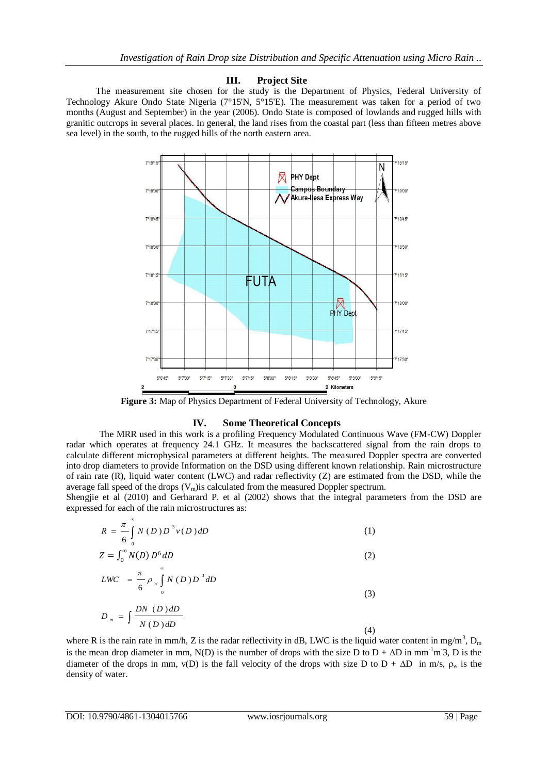#### **III. Project Site**

 The measurement site chosen for the study is the Department of Physics, Federal University of Technology Akure Ondo State Nigeria (7°15'N, 5°15'E). The measurement was taken for a period of two months (August and September) in the year (2006). Ondo State is composed of lowlands and rugged hills with granitic outcrops in several places. In general, the land rises from the coastal part (less than fifteen metres above sea level) in the south, to the rugged hills of the north eastern area.



**Figure 3:** Map of Physics Department of Federal University of Technology, Akure

### **IV. Some Theoretical Concepts**

The MRR used in this work is a profiling Frequency Modulated Continuous Wave (FM-CW) Doppler radar which operates at frequency 24.1 GHz. It measures the backscattered signal from the rain drops to calculate different microphysical parameters at different heights. The measured Doppler spectra are converted into drop diameters to provide Information on the DSD using different known relationship. Rain microstructure of rain rate (R), liquid water content (LWC) and radar reflectivity (Z) are estimated from the DSD, while the average fall speed of the drops  $(V_m)$  is calculated from the measured Doppler spectrum.

Shengjie et al (2010) and Gerharard P. et al (2002) shows that the integral parameters from the DSD are expressed for each of the rain microstructures as:

$$
R = \frac{\pi}{6} \int_{0}^{\infty} N(D) D^{3} v(D) dD
$$
 (1)

$$
Z = \int_0^\infty N(D) D^6 dD \tag{2}
$$

$$
LWC = \frac{\pi}{6} \rho_w \int_0^\infty N(D) D^3 dD
$$

$$
f_{\rm{max}}(x)=\frac{1}{2}x^2+\frac{1}{2}x^2+\frac{1}{2}x^2+\frac{1}{2}x^2+\frac{1}{2}x^2+\frac{1}{2}x^2+\frac{1}{2}x^2+\frac{1}{2}x^2+\frac{1}{2}x^2+\frac{1}{2}x^2+\frac{1}{2}x^2+\frac{1}{2}x^2+\frac{1}{2}x^2+\frac{1}{2}x^2+\frac{1}{2}x^2+\frac{1}{2}x^2+\frac{1}{2}x^2+\frac{1}{2}x^2+\frac{1}{2}x^2+\frac{1}{2}x^2+\frac{1}{2}x^2+\frac{1}{2}x^2+\frac{1}{2}x^2+\frac{1}{2}x^2+\frac{1}{2}x^2+\frac{1}{2}x^2+\frac{1}{2}x^2+\frac{1}{2}x^2+\frac{1}{2}x^2+\frac{1}{2}x^2+\frac{1}{2}x^2+\frac{1}{2}x^2+\frac{1}{2}x^2+\frac{1}{2}x^2+\frac{1}{2}x^2+\frac{1}{2}x^2+\frac{1}{2}x^2+\frac{1}{2}x^2+\frac{1}{2}x^2+\frac{1}{2}x^2+\frac{1}{2}x^2+\frac{1}{2}x^2+\frac{1}{2}x^2+\frac{1}{2}x^2+\frac{1}{2}x^2+\frac{1}{2}x^2+\frac{1}{2}x^2+\frac{1}{2}x^2+\frac{1}{2}x^2+\frac{1}{2}x^2+\frac{1}{2}x^2+\frac{1}{2}x^2+\frac{1}{2}x^2+\frac{1}{2}x^2+\frac{1}{2}x^2+\frac{1}{2}x^2+\frac{1}{2}x^2+\frac{1}{2}x^2+\frac{1}{2}x^2+\frac{1}{2}x^2+\frac{1}{2}x^2+\frac{1}{2}x^2+\frac{1}{2}x^2+\frac{1}{2}x^2+\frac{1}{2}x^2+\frac{1}{2}x^2+\frac{1}{2}x^2+\frac{1}{2}x^2+\frac{1}{2}x^2+\frac{1}{2}x^2+\frac{1}{2}x^2+\frac{1}{2}x^2+\frac{1}{2}x^2+\frac{1}{2}x^2+\frac{1}{2}x^
$$

(3)

$$
D_m = \int \frac{DN \ (D) \, dD}{N \ (D) \, dD} \tag{4}
$$

where R is the rain rate in mm/h, Z is the radar reflectivity in dB, LWC is the liquid water content in mg/m<sup>3</sup>, D<sub>m</sub> is the mean drop diameter in mm, N(D) is the number of drops with the size D to  $D + \Delta D$  in mm<sup>-1</sup>m<sup>-3</sup>, D is the diameter of the drops in mm,  $v(D)$  is the fall velocity of the drops with size D to  $D + \Delta D$  in m/s,  $\rho_w$  is the density of water.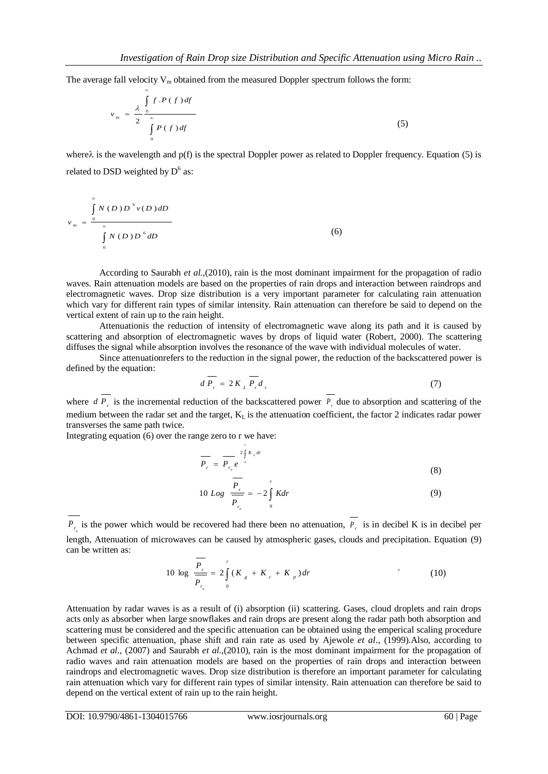The average fall velocity  $V_m$  obtained from the measured Doppler spectrum follows the form:

$$
v_m = \frac{\lambda}{2} \int_{0}^{\infty} \frac{f \cdot P(f) df}{\int_{0}^{\infty} P(f) df}
$$
 (5)

where  $\lambda$  is the wavelength and p(f) is the spectral Doppler power as related to Doppler frequency. Equation (5) is related to DSD weighted by  $D^6$  as:

$$
v_m = \frac{\int\limits_{0}^{\infty} N(D) D^6 v(D) dD}{\int\limits_{0}^{\infty} N(D) D^6 dD}
$$
 (6)

According to Saurabh *et al.,*(2010), rain is the most dominant impairment for the propagation of radio waves. Rain attenuation models are based on the properties of rain drops and interaction between raindrops and electromagnetic waves. Drop size distribution is a very important parameter for calculating rain attenuation which vary for different rain types of similar intensity. Rain attenuation can therefore be said to depend on the vertical extent of rain up to the rain height.

Attenuationis the reduction of intensity of electromagnetic wave along its path and it is caused by scattering and absorption of electromagnetic waves by drops of liquid water (Robert, 2000). The scattering diffuses the signal while absorption involves the resonance of the wave with individual molecules of water.

Since attenuationrefers to the reduction in the signal power, the reduction of the backscattered power is defined by the equation:

$$
d\overline{P_r} = 2K_L \overline{P_r} d_r \tag{7}
$$

where  $dP_r$  is the incremental reduction of the backscattered power  $P_r$  due to absorption and scattering of the medium between the radar set and the target,  $K_L$  is the attenuation coefficient, the factor 2 indicates radar power transverses the same path twice.

*r*

Integrating equation (6) over the range zero to r we have:

$$
\overline{P_r} = \overline{P_{r_o} e^{-2 \int K_L dr}}
$$
\n(8)

$$
10 Log \frac{P_r}{P_{r_o}} = -2 \int_{0}^{r} K dr \tag{9}
$$

 $P_{r_{\rho}}$  is the power which would be recovered had there been no attenuation,  $P_{r_{\rho}}$  is in decibel K is in decibel per length, Attenuation of microwaves can be caused by atmospheric gases, clouds and precipitation. Equation (9) can be written as:

$$
10 \log \frac{\overline{P_r}}{\overline{P_{r_o}}} = 2 \int_{0}^{r} (K_{g} + K_{c} + K_{p}) dr
$$
\n(10)

Attenuation by radar waves is as a result of (i) absorption (ii) scattering. Gases, cloud droplets and rain drops acts only as absorber when large snowflakes and rain drops are present along the radar path both absorption and scattering must be considered and the specific attenuation can be obtained using the emperical scaling procedure between specific attenuation, phase shift and rain rate as used by Ajewole *et al*., (1999).Also, according to Achmad *et al.,* (2007) and Saurabh *et al.,*(2010), rain is the most dominant impairment for the propagation of radio waves and rain attenuation models are based on the properties of rain drops and interaction between raindrops and electromagnetic waves. Drop size distribution is therefore an important parameter for calculating rain attenuation which vary for different rain types of similar intensity. Rain attenuation can therefore be said to depend on the vertical extent of rain up to the rain height.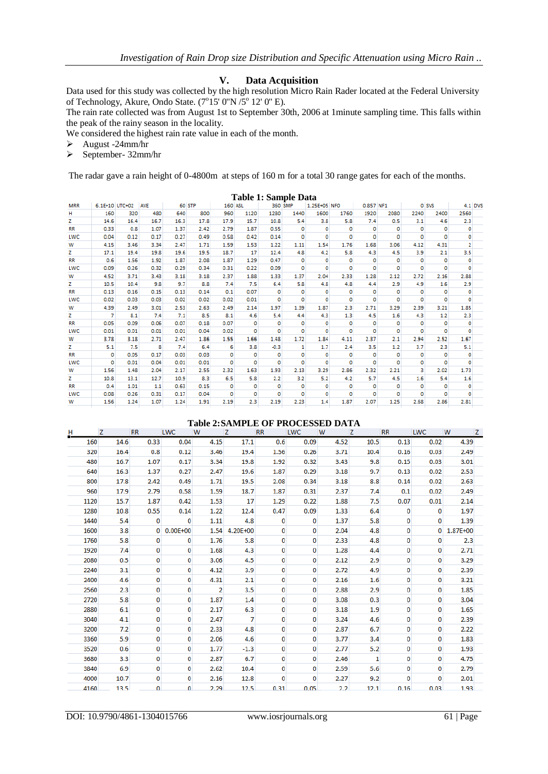#### **V. Data Acquisition**

Data used for this study was collected by the high resolution Micro Rain Rader located at the Federal University of Technology, Akure, Ondo State. (7°15' 0"N /5° 12' 0" E).

The rain rate collected was from August 1st to September 30th, 2006 at 1minute sampling time. This falls within the peak of the rainy season in the locality.

We considered the highest rain rate value in each of the month.

- August -24mm/hr
- $\triangleright$  September- 32mm/hr

The radar gave a rain height of 0-4800m at steps of 160 m for a total 30 range gates for each of the months.

|            |                |      |            |        |      |             | Table 1: Sample Data |         |      |              |      |           |         |          |       |                |
|------------|----------------|------|------------|--------|------|-------------|----------------------|---------|------|--------------|------|-----------|---------|----------|-------|----------------|
| <b>MRR</b> | 6.1E+10 UTC+02 |      | <b>AVE</b> | 60 STP |      | 160 ASL     |                      | 360 SMP |      | 1.25E+05 NFO |      | 0.857 NF1 |         |          | 0 SVS | $4.1$ DVS      |
| н          | 160            | 320  | 480        | 640    | 800  | 960         | 1120                 | 1280    | 1440 | 1600         | 1760 | 1920      | 2080    | 2240     | 2400  | 2560           |
| z          | 14.6           | 16.4 | 16.7       | 16.3   | 17.8 | 17.9        | 15.7                 | 10.8    | 5.4  | 3.8          | 5.8  | 7.4       | 0.5     | 3.1      | 4.6   | 2.3            |
| <b>RR</b>  | 0.33           | 0.8  | 1.07       | 1.37   | 2.42 | 2.79        | 1.87                 | 0.55    | 0    | 0            | ٥    | o         | o       | $\circ$  | 0     | 0              |
| LWC        | 0.04           | 0.12 | 0.17       | 0.27   | 0.49 | 0.58        | 0.42                 | 0.14    | o    | $\mathbf{0}$ | o    | o         | $\circ$ | o        | O     | o              |
| W          | 4.15           | 3.46 | 3.34       | 2.47   | 1.71 | 1.59        | 1.53                 | 1.22    | 1.11 | 1.54         | 1.76 | 1.68      | 3.06    | 4.12     | 4.31  | $\overline{2}$ |
| z          | 17.1           | 19.4 | 19.8       | 19.6   | 19.5 | 18.7        | 17                   | 12.4    | 4.8  | 4.2          | 5.8  | 4.3       | 4.5     | 3.9      | 2.1   | 3.5            |
| <b>RR</b>  | 0.6            | 1.56 | 1.92       | 1.87   | 2.08 | 1.87        | 1.29                 | 0.47    | o    | o            | ٥    | o         | o       | o        | 0     | 0              |
| LWC        | 0.09           | 0.26 | 0.32       | 0.29   | 0.34 | 0.31        | 0.22                 | 0.09    | o    | o            | o    | o         | $\circ$ | o        | o     | o              |
| W          | 4.52           | 3.71 | 3.43       | 3.18   | 3.18 | 2.37        | 1.88                 | 1.33    | 1.37 | 2.04         | 2.33 | 1.28      | 2.12    | 2.72     | 2.16  | 2.88           |
| z          | 10.5           | 10.4 | 9.8        | 9.7    | 8.8  | 7.4         | 7.5                  | 6.4     | 5.8  | 4.8          | 4.8  | 4.4       | 2.9     | 4.9      | 1.6   | 2.9            |
| <b>RR</b>  | 0.13           | 0.16 | 0.15       | 0.13   | 0.14 | 0.1         | 0.07                 | o       | 0    | o            | ٥    | o         | o       | o        | o     | 0              |
| LWC        | 0.02           | 0.03 | 0.03       | 0.02   | 0.02 | 0.02        | 0.01                 | o       | o    | 0            | o    | ٥         | $\circ$ | o        | 0     | o              |
| w          | 4.39           | 2.49 | 3.01       | 2.53   | 2.63 | 2.49        | 2.14                 | 1.97    | 1.39 | 1.87         | 2.3  | 2.71      | 3.29    | 2.39     | 3.21  | 1.85           |
| z          | 7              | 8.1  | 7.4        | 7.1    | 8.5  | 8.1         | 4.6                  | 5.4     | 4.4  | 4.3          | 1.3  | 4.5       | 1.6     | 4.3      | 1.2   | 2.3            |
| <b>RR</b>  | 0.05           | 0.09 | 0.06       | 0.07   | 0.18 | 0.07        | o                    | o       | o    | o            | ٥    | ٥         | o       | o        | o     | 0              |
| LWC        | 0.01           | 0.01 | 0.01       | 0.01   | 0.04 | 0.02        | o                    | o       | o    | ٥            | o    | ٥         | $\circ$ | o        | 0     | o              |
| w          | 3.78           | 3.18 | 2.71       | 2.47   | 1.86 | 1.55        | 1.66                 | 1.48    | 1.72 | 1.84         | 4.11 | 2.37      | 2.1     | 2.94     | 2.52  | 1.67           |
| z          | 5.1            | 7.5  | 8          | 7.4    | 6.4  | 6           | 3.8                  | $-0.3$  | 1    | 1.7          | 2.4  | 3.5       | 1.2     | 3.7      | 2.3   | 5.1            |
| <b>RR</b>  | 0              | 0.05 | 0.17       | 0.03   | 0.03 | $\mathbf 0$ | $\Omega$             | o       | o    | o            | o    | o         | $\circ$ | $\Omega$ | o     | 0              |
| LWC        | o              | 0.01 | 0.04       | 0.01   | 0.01 | $\mathbf 0$ | o                    | O       | O    | o            | o    | o         | o       | o        | Ō     | o              |
| W          | 1.56           | 1.48 | 2.04       | 2.17   | 2.55 | 2.32        | 1.63                 | 1.93    | 2.13 | 3.29         | 2.86 | 2.32      | 2.21    | 3        | 2.02  | 1.73           |
| z          | 10.8           | 13.1 | 12.7       | 10.9   | 8.3  | 6.5         | 5.8                  | 2.2     | 3.2  | 5.2          | 4.2  | 5.7       | 4.5     | 1.6      | 5.4   | 1.6            |
| <b>RR</b>  | 0.4            | 1.01 | 1.1        | 0.63   | 0.15 | o           | o                    | o       | o    | o            | o    | ٥         | o       | o        | o     | o              |
| LWC        | 0.08           | 0.26 | 0.31       | 0.17   | 0.04 | o           | $\mathbf 0$          | o       | o    | O            | o    | o         | o       | o        | Ō     | $\mathbf 0$    |
| w          | 1.56           | 1.24 | 1.07       | 1.24   | 1.91 | 2.19        | 2.3                  | 2.19    | 2.23 | 1.4          | 1.87 | 2.07      | 1.25    | 2.68     | 2.86  | 2.81           |

| <b>Table 2: SAMPLE OF PROCESSED DATA</b> |      |              |              |                |          |           |            |      |      |           |            |          |
|------------------------------------------|------|--------------|--------------|----------------|----------|-----------|------------|------|------|-----------|------------|----------|
| н                                        | z    | <b>RR</b>    | <b>LWC</b>   | W              | z        | <b>RR</b> | <b>LWC</b> | W    | z    | <b>RR</b> | <b>LWC</b> | W<br>z   |
| 160                                      | 14.6 | 0.33         | 0.04         | 4.15           | 17.1     | 0.6       | 0.09       | 4.52 | 10.5 | 0.13      | 0.02       | 4.39     |
| 320                                      | 16.4 | 0.8          | 0.12         | 3.46           | 19.4     | 1.56      | 0.26       | 3.71 | 10.4 | 0.16      | 0.03       | 2.49     |
| 480                                      | 16.7 | 1.07         | 0.17         | 3.34           | 19.8     | 1.92      | 0.32       | 3.43 | 9.8  | 0.15      | 0.03       | 3.01     |
| 640                                      | 16.3 | 1.37         | 0.27         | 2.47           | 19.6     | 1.87      | 0.29       | 3.18 | 9.7  | 0.13      | 0.02       | 2.53     |
| 800                                      | 17.8 | 2.42         | 0.49         | 1.71           | 19.5     | 2.08      | 0.34       | 3.18 | 8.8  | 0.14      | 0.02       | 2.63     |
| 960                                      | 17.9 | 2.79         | 0.58         | 1.59           | 18.7     | 1.87      | 0.31       | 2.37 | 7.4  | 0.1       | 0.02       | 2.49     |
| 1120                                     | 15.7 | 1.87         | 0.42         | 1.53           | 17       | 1.29      | 0.22       | 1.88 | 7.5  | 0.07      | 0.01       | 2.14     |
| 1280                                     | 10.8 | 0.55         | 0.14         | 1.22           | 12.4     | 0.47      | 0.09       | 1.33 | 6.4  | 0         | 0          | 1.97     |
| 1440                                     | 5.4  | 0            | $\mathbf{0}$ | 1.11           | 4.8      | 0         | 0          | 1.37 | 5.8  | 0         | $\bf{0}$   | 1.39     |
| 1600                                     | 3.8  | $\mathbf{0}$ | $0.00E + 00$ | 1.54           | 4.20E+00 | 0         | 0          | 2.04 | 4.8  | 0         | 0          | 1.87E+00 |
| 1760                                     | 5.8  | 0            | 0            | 1.76           | 5.8      | 0         | 0          | 2.33 | 4.8  | 0         | 0          | 2.3      |
| 1920                                     | 7.4  | 0            | 0            | 1.68           | 4.3      | 0         | 0          | 1.28 | 4.4  | 0         | 0          | 2.71     |
| 2080                                     | 0.5  | 0            | 0            | 3.06           | 4.5      | 0         | 0          | 2.12 | 2.9  | 0         | $\Omega$   | 3.29     |
| 2240                                     | 3.1  | 0            | 0            | 4.12           | 3.9      | 0         | 0          | 2.72 | 4.9  | 0         | 0          | 2.39     |
| 2400                                     | 4.6  | 0            | 0            | 4.31           | 2.1      | 0         | 0          | 2.16 | 1.6  | 0         | 0          | 3.21     |
| 2560                                     | 2.3  | 0            | 0            | $\overline{2}$ | 3.5      | 0         | 0          | 2.88 | 2.9  | 0         | 0          | 1.85     |
| 2720                                     | 5.8  | 0            | 0            | 1.87           | 1.4      | 0         | 0          | 3.08 | 0.3  | 0         | 0          | 3.04     |
| 2880                                     | 6.1  | 0            | 0            | 2.17           | 6.3      | 0         | 0          | 3.18 | 1.9  | 0         | 0          | 1.65     |
| 3040                                     | 4.1  | 0            | 0            | 2.47           | 7        | 0         | 0          | 3.24 | 4.6  | 0         | 0          | 2.39     |
| 3200                                     | 7.2  | 0            | 0            | 2.33           | 4.8      | 0         | 0          | 2.87 | 6.7  | 0         | 0          | 2.22     |
| 3360                                     | 5.9  | 0            | 0            | 2.06           | 4.6      | 0         | 0          | 3.77 | 3.4  | 0         | 0          | 1.83     |
| 3520                                     | 0.6  | 0            | 0            | 1.77           | $-1.3$   | 0         | 0          | 2.77 | 5.2  | 0         | $\Omega$   | 1.93     |
| 3680                                     | 3.3  | 0            | 0            | 2.87           | 6.7      | 0         | 0          | 2.46 | 1    | 0         | 0          | 4.75     |
| 3840                                     | 6.9  | 0            | 0            | 2.62           | 10.4     | 0         | 0          | 2.59 | 5.6  | 0         | 0          | 2.79     |
| 4000                                     | 10.7 | 0            | 0            | 2.16           | 12.8     | 0         | 0          | 2.27 | 9.2  | o         | o          | 2.01     |
| 4160                                     | 13.5 | $\Omega$     | 0            | 2.29           | 12.5     | 0.31      | 0.05       | 2.2  | 12.1 | 0.16      | 0.03       | 1.93     |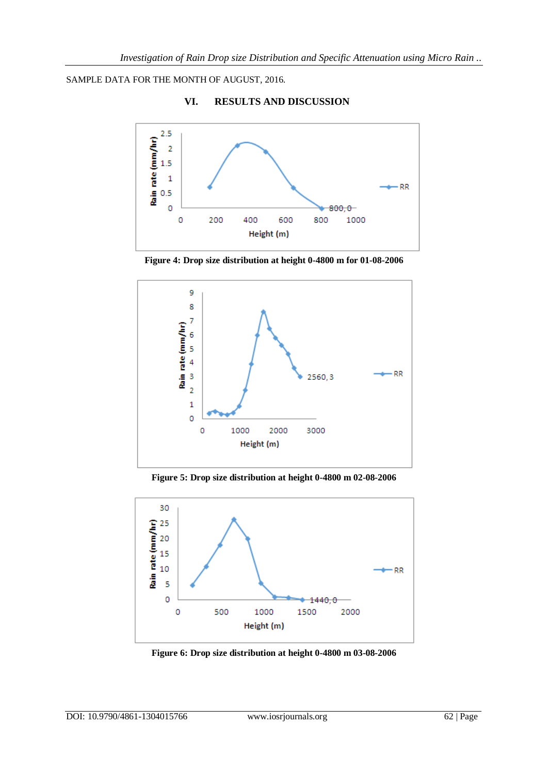SAMPLE DATA FOR THE MONTH OF AUGUST, 2016.



**VI. RESULTS AND DISCUSSION**

**Figure 4: Drop size distribution at height 0-4800 m for 01-08-2006**



**Figure 5: Drop size distribution at height 0-4800 m 02-08-2006**



**Figure 6: Drop size distribution at height 0-4800 m 03-08-2006**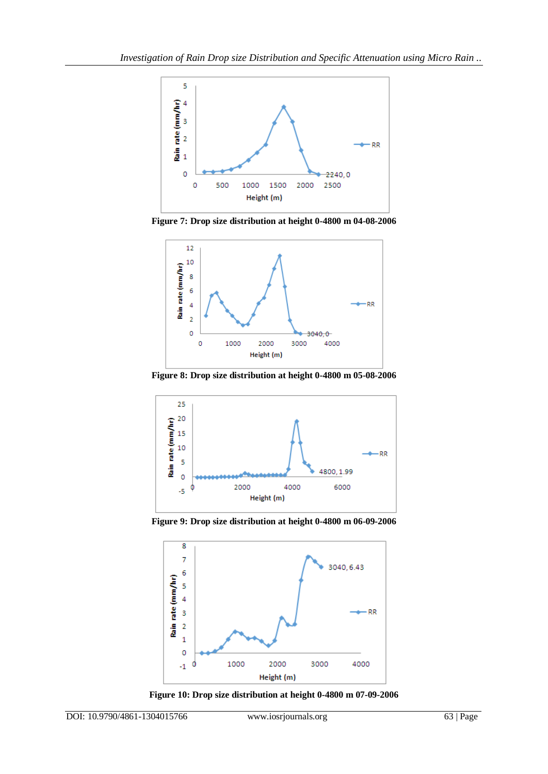

**Figure 7: Drop size distribution at height 0-4800 m 04-08-2006**



**Figure 8: Drop size distribution at height 0-4800 m 05-08-2006**



**Figure 9: Drop size distribution at height 0-4800 m 06-09-2006**



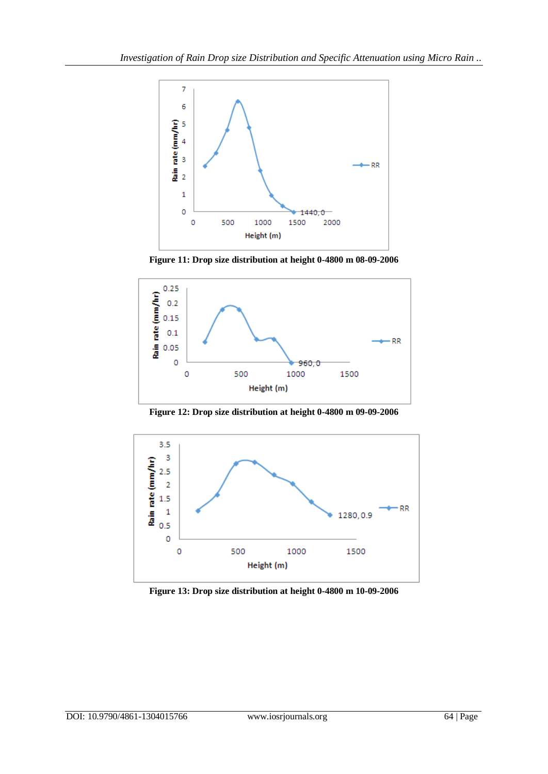

**Figure 11: Drop size distribution at height 0-4800 m 08-09-2006**



**Figure 12: Drop size distribution at height 0-4800 m 09-09-2006**



**Figure 13: Drop size distribution at height 0-4800 m 10-09-2006**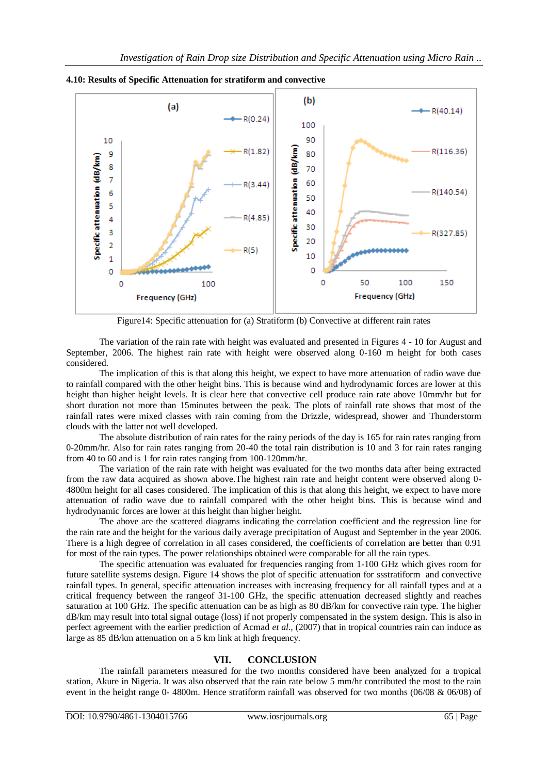

**4.10: Results of Specific Attenuation for stratiform and convective**

Figure14: Specific attenuation for (a) Stratiform (b) Convective at different rain rates

The variation of the rain rate with height was evaluated and presented in Figures 4 - 10 for August and September, 2006. The highest rain rate with height were observed along 0-160 m height for both cases considered.

The implication of this is that along this height, we expect to have more attenuation of radio wave due to rainfall compared with the other height bins. This is because wind and hydrodynamic forces are lower at this height than higher height levels. It is clear here that convective cell produce rain rate above 10mm/hr but for short duration not more than 15minutes between the peak. The plots of rainfall rate shows that most of the rainfall rates were mixed classes with rain coming from the Drizzle, widespread, shower and Thunderstorm clouds with the latter not well developed.

The absolute distribution of rain rates for the rainy periods of the day is 165 for rain rates ranging from 0-20mm/hr. Also for rain rates ranging from 20-40 the total rain distribution is 10 and 3 for rain rates ranging from 40 to 60 and is 1 for rain rates ranging from 100-120mm/hr.

The variation of the rain rate with height was evaluated for the two months data after being extracted from the raw data acquired as shown above.The highest rain rate and height content were observed along 0- 4800m height for all cases considered. The implication of this is that along this height, we expect to have more attenuation of radio wave due to rainfall compared with the other height bins. This is because wind and hydrodynamic forces are lower at this height than higher height.

The above are the scattered diagrams indicating the correlation coefficient and the regression line for the rain rate and the height for the various daily average precipitation of August and September in the year 2006. There is a high degree of correlation in all cases considered, the coefficients of correlation are better than 0.91 for most of the rain types. The power relationships obtained were comparable for all the rain types.

The specific attenuation was evaluated for frequencies ranging from 1-100 GHz which gives room for future satellite systems design. Figure 14 shows the plot of specific attenuation for ssstratiform and convective rainfall types. In general, specific attenuation increases with increasing frequency for all rainfall types and at a critical frequency between the rangeof 31-100 GHz, the specific attenuation decreased slightly and reaches saturation at 100 GHz. The specific attenuation can be as high as 80 dB/km for convective rain type. The higher dB/km may result into total signal outage (loss) if not properly compensated in the system design. This is also in perfect agreement with the earlier prediction of Acmad *et al.,* (2007) that in tropical countries rain can induce as large as 85 dB/km attenuation on a 5 km link at high frequency.

### **VII. CONCLUSION**

The rainfall parameters measured for the two months considered have been analyzed for a tropical station, Akure in Nigeria. It was also observed that the rain rate below 5 mm/hr contributed the most to the rain event in the height range 0- 4800m. Hence stratiform rainfall was observed for two months (06/08 & 06/08) of